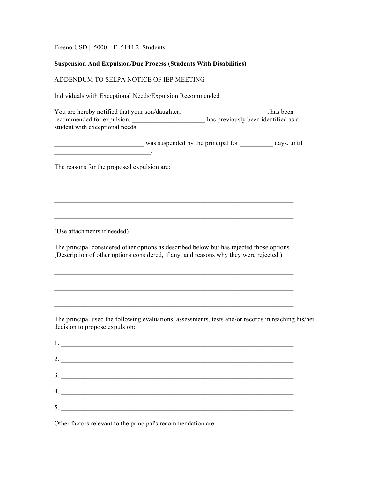Fresno USD | 5000 | E 5144.2 Students

## **Suspension And Expulsion/Due Process (Students With Disabilities)**

## ADDENDUM TO SELPA NOTICE OF IEP MEETING

Individuals with Exceptional Needs/Expulsion Recommended

| You are hereby notified that your son/daughter, | , has been                          |
|-------------------------------------------------|-------------------------------------|
| recommended for expulsion.                      | has previously been identified as a |
| student with exceptional needs.                 |                                     |

was suspended by the principal for \_\_\_\_\_\_\_\_ days, until

 $\mathcal{L}_\text{max} = \mathcal{L}_\text{max} = \mathcal{L}_\text{max} = \mathcal{L}_\text{max} = \mathcal{L}_\text{max} = \mathcal{L}_\text{max} = \mathcal{L}_\text{max} = \mathcal{L}_\text{max} = \mathcal{L}_\text{max} = \mathcal{L}_\text{max} = \mathcal{L}_\text{max} = \mathcal{L}_\text{max} = \mathcal{L}_\text{max} = \mathcal{L}_\text{max} = \mathcal{L}_\text{max} = \mathcal{L}_\text{max} = \mathcal{L}_\text{max} = \mathcal{L}_\text{max} = \mathcal{$ 

 $\mathcal{L}_\text{max} = \mathcal{L}_\text{max} = \mathcal{L}_\text{max} = \mathcal{L}_\text{max} = \mathcal{L}_\text{max} = \mathcal{L}_\text{max} = \mathcal{L}_\text{max} = \mathcal{L}_\text{max} = \mathcal{L}_\text{max} = \mathcal{L}_\text{max} = \mathcal{L}_\text{max} = \mathcal{L}_\text{max} = \mathcal{L}_\text{max} = \mathcal{L}_\text{max} = \mathcal{L}_\text{max} = \mathcal{L}_\text{max} = \mathcal{L}_\text{max} = \mathcal{L}_\text{max} = \mathcal{$ 

The reasons for the proposed expulsion are:

 $\mathcal{L}_\text{max}$  and  $\mathcal{L}_\text{max}$  and  $\mathcal{L}_\text{max}$  and  $\mathcal{L}_\text{max}$ 

(Use attachments if needed)

The principal considered other options as described below but has rejected those options. (Description of other options considered, if any, and reasons why they were rejected.)

 $\mathcal{L}_\text{max} = \mathcal{L}_\text{max} = \mathcal{L}_\text{max} = \mathcal{L}_\text{max} = \mathcal{L}_\text{max} = \mathcal{L}_\text{max} = \mathcal{L}_\text{max} = \mathcal{L}_\text{max} = \mathcal{L}_\text{max} = \mathcal{L}_\text{max} = \mathcal{L}_\text{max} = \mathcal{L}_\text{max} = \mathcal{L}_\text{max} = \mathcal{L}_\text{max} = \mathcal{L}_\text{max} = \mathcal{L}_\text{max} = \mathcal{L}_\text{max} = \mathcal{L}_\text{max} = \mathcal{$ 

The principal used the following evaluations, assessments, tests and/or records in reaching his/her decision to propose expulsion:

| ., |    |
|----|----|
|    | 2. |
|    | 3. |
| 4. |    |
| 5. |    |

Other factors relevant to the principal's recommendation are: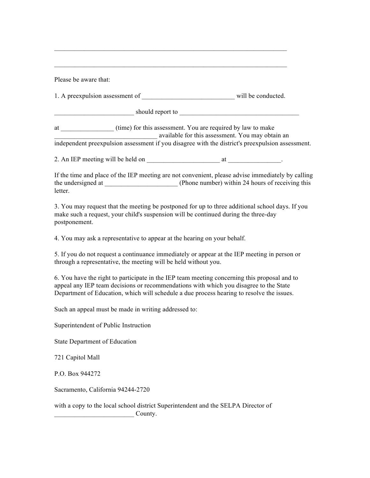| Please be aware that:                                                                                                                                                                                                                                                              |  |
|------------------------------------------------------------------------------------------------------------------------------------------------------------------------------------------------------------------------------------------------------------------------------------|--|
|                                                                                                                                                                                                                                                                                    |  |
| should report to entertainment of the state of the state of the state of the state of the state of the state of the state of the state of the state of the state of the state of the state of the state of the state of the st                                                     |  |
| at (time) for this assessment. You are required by law to make<br>available for this assessment. You may obtain an independent preexpulsion assessment if you disagree with the district's preexpulsion assessment.                                                                |  |
|                                                                                                                                                                                                                                                                                    |  |
| If the time and place of the IEP meeting are not convenient, please advise immediately by calling<br>letter.                                                                                                                                                                       |  |
| 3. You may request that the meeting be postponed for up to three additional school days. If you<br>make such a request, your child's suspension will be continued during the three-day<br>postponement.                                                                            |  |
| 4. You may ask a representative to appear at the hearing on your behalf.                                                                                                                                                                                                           |  |
| 5. If you do not request a continuance immediately or appear at the IEP meeting in person or<br>through a representative, the meeting will be held without you.                                                                                                                    |  |
| 6. You have the right to participate in the IEP team meeting concerning this proposal and to<br>appeal any IEP team decisions or recommendations with which you disagree to the State<br>Department of Education, which will schedule a due process hearing to resolve the issues. |  |
| Such an appeal must be made in writing addressed to:                                                                                                                                                                                                                               |  |
| Superintendent of Public Instruction                                                                                                                                                                                                                                               |  |
| <b>State Department of Education</b>                                                                                                                                                                                                                                               |  |
| 721 Capitol Mall                                                                                                                                                                                                                                                                   |  |
| P.O. Box 944272                                                                                                                                                                                                                                                                    |  |
| Sacramento, California 94244-2720                                                                                                                                                                                                                                                  |  |
| with a copy to the local school district Superintendent and the SELPA Director of<br>County.                                                                                                                                                                                       |  |

 $\mathcal{L}_\text{max} = \mathcal{L}_\text{max} = \mathcal{L}_\text{max} = \mathcal{L}_\text{max} = \mathcal{L}_\text{max} = \mathcal{L}_\text{max} = \mathcal{L}_\text{max} = \mathcal{L}_\text{max} = \mathcal{L}_\text{max} = \mathcal{L}_\text{max} = \mathcal{L}_\text{max} = \mathcal{L}_\text{max} = \mathcal{L}_\text{max} = \mathcal{L}_\text{max} = \mathcal{L}_\text{max} = \mathcal{L}_\text{max} = \mathcal{L}_\text{max} = \mathcal{L}_\text{max} = \mathcal{$